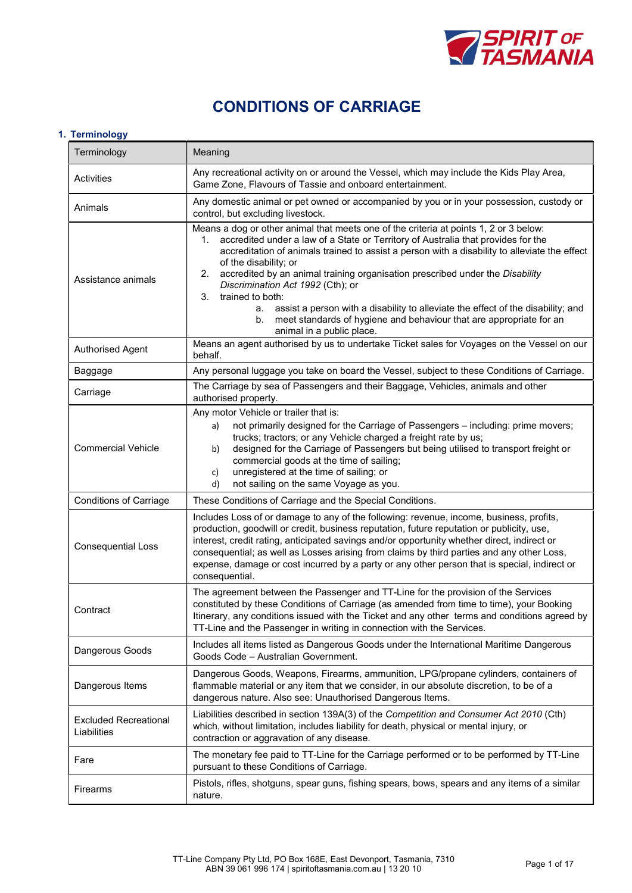

# CONDITIONS OF CARRIAGE

# 1. Terminology

| Terminology                                 | Meaning                                                                                                                                                                                                                                                                                                                                                                                                                                                                                                                                                                                                                                                              |  |  |  |
|---------------------------------------------|----------------------------------------------------------------------------------------------------------------------------------------------------------------------------------------------------------------------------------------------------------------------------------------------------------------------------------------------------------------------------------------------------------------------------------------------------------------------------------------------------------------------------------------------------------------------------------------------------------------------------------------------------------------------|--|--|--|
| Activities                                  | Any recreational activity on or around the Vessel, which may include the Kids Play Area,<br>Game Zone, Flavours of Tassie and onboard entertainment.                                                                                                                                                                                                                                                                                                                                                                                                                                                                                                                 |  |  |  |
| Animals                                     | Any domestic animal or pet owned or accompanied by you or in your possession, custody or<br>control, but excluding livestock.                                                                                                                                                                                                                                                                                                                                                                                                                                                                                                                                        |  |  |  |
| Assistance animals                          | Means a dog or other animal that meets one of the criteria at points 1, 2 or 3 below:<br>accredited under a law of a State or Territory of Australia that provides for the<br>1.<br>accreditation of animals trained to assist a person with a disability to alleviate the effect<br>of the disability; or<br>accredited by an animal training organisation prescribed under the Disability<br>2.<br>Discrimination Act 1992 (Cth); or<br>trained to both:<br>3.<br>assist a person with a disability to alleviate the effect of the disability; and<br>а.<br>meet standards of hygiene and behaviour that are appropriate for an<br>b.<br>animal in a public place. |  |  |  |
| Authorised Agent                            | Means an agent authorised by us to undertake Ticket sales for Voyages on the Vessel on our<br>behalf.                                                                                                                                                                                                                                                                                                                                                                                                                                                                                                                                                                |  |  |  |
| Baggage                                     | Any personal luggage you take on board the Vessel, subject to these Conditions of Carriage.                                                                                                                                                                                                                                                                                                                                                                                                                                                                                                                                                                          |  |  |  |
| Carriage                                    | The Carriage by sea of Passengers and their Baggage, Vehicles, animals and other<br>authorised property.                                                                                                                                                                                                                                                                                                                                                                                                                                                                                                                                                             |  |  |  |
| <b>Commercial Vehicle</b>                   | Any motor Vehicle or trailer that is:<br>not primarily designed for the Carriage of Passengers - including: prime movers;<br>a)<br>trucks; tractors; or any Vehicle charged a freight rate by us;<br>designed for the Carriage of Passengers but being utilised to transport freight or<br>b)<br>commercial goods at the time of sailing;<br>unregistered at the time of sailing; or<br>c)<br>not sailing on the same Voyage as you.<br>d)                                                                                                                                                                                                                           |  |  |  |
| <b>Conditions of Carriage</b>               | These Conditions of Carriage and the Special Conditions.                                                                                                                                                                                                                                                                                                                                                                                                                                                                                                                                                                                                             |  |  |  |
| <b>Consequential Loss</b>                   | Includes Loss of or damage to any of the following: revenue, income, business, profits,<br>production, goodwill or credit, business reputation, future reputation or publicity, use,<br>interest, credit rating, anticipated savings and/or opportunity whether direct, indirect or<br>consequential; as well as Losses arising from claims by third parties and any other Loss,<br>expense, damage or cost incurred by a party or any other person that is special, indirect or<br>consequential.                                                                                                                                                                   |  |  |  |
| Contract                                    | The agreement between the Passenger and TT-Line for the provision of the Services<br>constituted by these Conditions of Carriage (as amended from time to time), your Booking<br>Itinerary, any conditions issued with the Ticket and any other terms and conditions agreed by<br>TT-Line and the Passenger in writing in connection with the Services.                                                                                                                                                                                                                                                                                                              |  |  |  |
| Dangerous Goods                             | Includes all items listed as Dangerous Goods under the International Maritime Dangerous<br>Goods Code - Australian Government.                                                                                                                                                                                                                                                                                                                                                                                                                                                                                                                                       |  |  |  |
| Dangerous Items                             | Dangerous Goods, Weapons, Firearms, ammunition, LPG/propane cylinders, containers of<br>flammable material or any item that we consider, in our absolute discretion, to be of a<br>dangerous nature. Also see: Unauthorised Dangerous Items.                                                                                                                                                                                                                                                                                                                                                                                                                         |  |  |  |
| <b>Excluded Recreational</b><br>Liabilities | Liabilities described in section 139A(3) of the Competition and Consumer Act 2010 (Cth)<br>which, without limitation, includes liability for death, physical or mental injury, or<br>contraction or aggravation of any disease.                                                                                                                                                                                                                                                                                                                                                                                                                                      |  |  |  |
| Fare                                        | The monetary fee paid to TT-Line for the Carriage performed or to be performed by TT-Line<br>pursuant to these Conditions of Carriage.                                                                                                                                                                                                                                                                                                                                                                                                                                                                                                                               |  |  |  |
| Firearms                                    | Pistols, rifles, shotguns, spear guns, fishing spears, bows, spears and any items of a similar<br>nature.                                                                                                                                                                                                                                                                                                                                                                                                                                                                                                                                                            |  |  |  |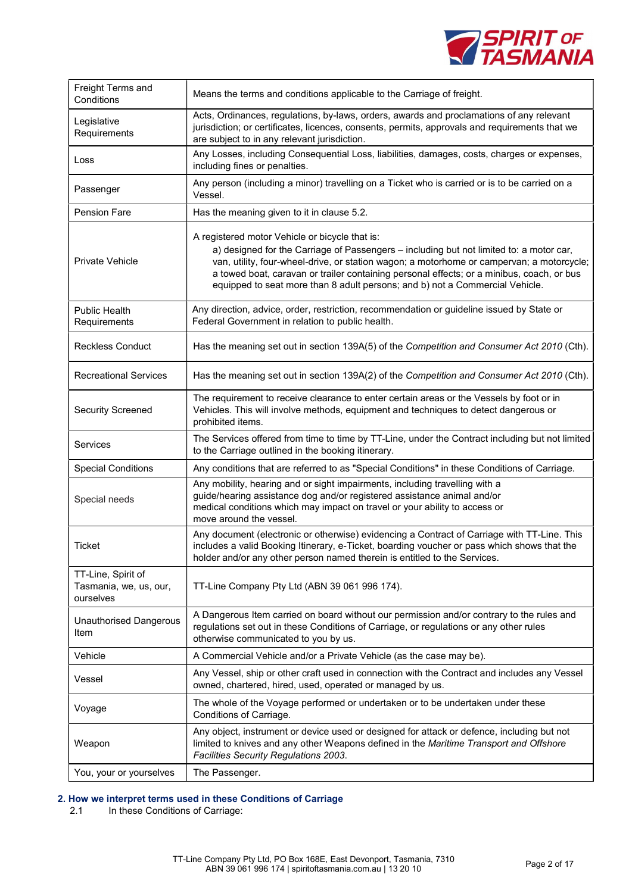

| Freight Terms and<br>Conditions                           | Means the terms and conditions applicable to the Carriage of freight.                                                                                                                                                                                                                                                                                                                                               |  |  |
|-----------------------------------------------------------|---------------------------------------------------------------------------------------------------------------------------------------------------------------------------------------------------------------------------------------------------------------------------------------------------------------------------------------------------------------------------------------------------------------------|--|--|
| Legislative<br>Requirements                               | Acts, Ordinances, regulations, by-laws, orders, awards and proclamations of any relevant<br>jurisdiction; or certificates, licences, consents, permits, approvals and requirements that we<br>are subject to in any relevant jurisdiction.                                                                                                                                                                          |  |  |
| Loss                                                      | Any Losses, including Consequential Loss, liabilities, damages, costs, charges or expenses,<br>including fines or penalties.                                                                                                                                                                                                                                                                                        |  |  |
| Passenger                                                 | Any person (including a minor) travelling on a Ticket who is carried or is to be carried on a<br>Vessel.                                                                                                                                                                                                                                                                                                            |  |  |
| <b>Pension Fare</b>                                       | Has the meaning given to it in clause 5.2.                                                                                                                                                                                                                                                                                                                                                                          |  |  |
| <b>Private Vehicle</b>                                    | A registered motor Vehicle or bicycle that is:<br>a) designed for the Carriage of Passengers - including but not limited to: a motor car,<br>van, utility, four-wheel-drive, or station wagon; a motorhome or campervan; a motorcycle;<br>a towed boat, caravan or trailer containing personal effects; or a minibus, coach, or bus<br>equipped to seat more than 8 adult persons; and b) not a Commercial Vehicle. |  |  |
| Public Health<br>Requirements                             | Any direction, advice, order, restriction, recommendation or guideline issued by State or<br>Federal Government in relation to public health.                                                                                                                                                                                                                                                                       |  |  |
| <b>Reckless Conduct</b>                                   | Has the meaning set out in section 139A(5) of the Competition and Consumer Act 2010 (Cth).                                                                                                                                                                                                                                                                                                                          |  |  |
| <b>Recreational Services</b>                              | Has the meaning set out in section 139A(2) of the Competition and Consumer Act 2010 (Cth).                                                                                                                                                                                                                                                                                                                          |  |  |
| <b>Security Screened</b>                                  | The requirement to receive clearance to enter certain areas or the Vessels by foot or in<br>Vehicles. This will involve methods, equipment and techniques to detect dangerous or<br>prohibited items.                                                                                                                                                                                                               |  |  |
| Services                                                  | The Services offered from time to time by TT-Line, under the Contract including but not limited<br>to the Carriage outlined in the booking itinerary.                                                                                                                                                                                                                                                               |  |  |
| <b>Special Conditions</b>                                 | Any conditions that are referred to as "Special Conditions" in these Conditions of Carriage.                                                                                                                                                                                                                                                                                                                        |  |  |
| Special needs                                             | Any mobility, hearing and or sight impairments, including travelling with a<br>guide/hearing assistance dog and/or registered assistance animal and/or<br>medical conditions which may impact on travel or your ability to access or<br>move around the vessel.                                                                                                                                                     |  |  |
| Ticket                                                    | Any document (electronic or otherwise) evidencing a Contract of Carriage with TT-Line. This<br>includes a valid Booking Itinerary, e-Ticket, boarding voucher or pass which shows that the<br>holder and/or any other person named therein is entitled to the Services.                                                                                                                                             |  |  |
| TT-Line, Spirit of<br>Tasmania, we, us, our,<br>ourselves | TT-Line Company Pty Ltd (ABN 39 061 996 174).                                                                                                                                                                                                                                                                                                                                                                       |  |  |
| <b>Unauthorised Dangerous</b><br>Item                     | A Dangerous Item carried on board without our permission and/or contrary to the rules and<br>regulations set out in these Conditions of Carriage, or regulations or any other rules<br>otherwise communicated to you by us.                                                                                                                                                                                         |  |  |
| Vehicle                                                   | A Commercial Vehicle and/or a Private Vehicle (as the case may be).                                                                                                                                                                                                                                                                                                                                                 |  |  |
| Vessel                                                    | Any Vessel, ship or other craft used in connection with the Contract and includes any Vessel<br>owned, chartered, hired, used, operated or managed by us.                                                                                                                                                                                                                                                           |  |  |
| Voyage                                                    | The whole of the Voyage performed or undertaken or to be undertaken under these<br>Conditions of Carriage.                                                                                                                                                                                                                                                                                                          |  |  |
| Weapon                                                    | Any object, instrument or device used or designed for attack or defence, including but not<br>limited to knives and any other Weapons defined in the Maritime Transport and Offshore<br>Facilities Security Regulations 2003.                                                                                                                                                                                       |  |  |
| You, your or yourselves                                   | The Passenger.                                                                                                                                                                                                                                                                                                                                                                                                      |  |  |

# 2. How we interpret terms used in these Conditions of Carriage<br>2.1 In these Conditions of Carriage:

In these Conditions of Carriage: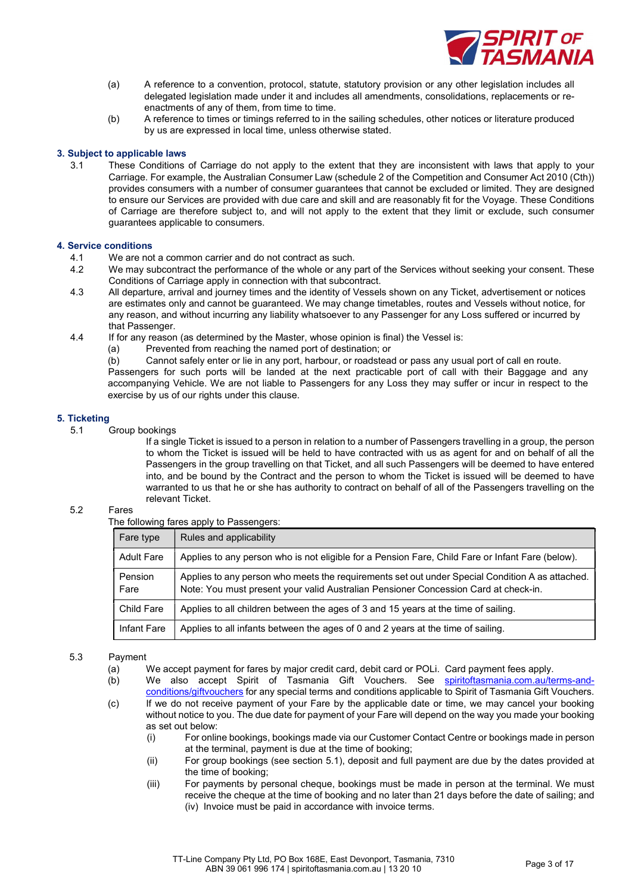

- (a) A reference to a convention, protocol, statute, statutory provision or any other legislation includes all delegated legislation made under it and includes all amendments, consolidations, replacements or reenactments of any of them, from time to time.
- (b) A reference to times or timings referred to in the sailing schedules, other notices or literature produced by us are expressed in local time, unless otherwise stated.

# 3. Subject to applicable laws

3.1 These Conditions of Carriage do not apply to the extent that they are inconsistent with laws that apply to your Carriage. For example, the Australian Consumer Law (schedule 2 of the Competition and Consumer Act 2010 (Cth)) provides consumers with a number of consumer guarantees that cannot be excluded or limited. They are designed to ensure our Services are provided with due care and skill and are reasonably fit for the Voyage. These Conditions of Carriage are therefore subject to, and will not apply to the extent that they limit or exclude, such consumer guarantees applicable to consumers.

#### 4. Service conditions

- 4.1 We are not a common carrier and do not contract as such.
- 4.2 We may subcontract the performance of the whole or any part of the Services without seeking your consent. These Conditions of Carriage apply in connection with that subcontract.
- 4.3 All departure, arrival and journey times and the identity of Vessels shown on any Ticket, advertisement or notices are estimates only and cannot be guaranteed. We may change timetables, routes and Vessels without notice, for any reason, and without incurring any liability whatsoever to any Passenger for any Loss suffered or incurred by that Passenger.
- 4.4 If for any reason (as determined by the Master, whose opinion is final) the Vessel is:
	- (a) Prevented from reaching the named port of destination; or
	- (b) Cannot safely enter or lie in any port, harbour, or roadstead or pass any usual port of call en route.

Passengers for such ports will be landed at the next practicable port of call with their Baggage and any accompanying Vehicle. We are not liable to Passengers for any Loss they may suffer or incur in respect to the exercise by us of our rights under this clause.

# 5. Ticketing

5.1 Group bookings

If a single Ticket is issued to a person in relation to a number of Passengers travelling in a group, the person to whom the Ticket is issued will be held to have contracted with us as agent for and on behalf of all the Passengers in the group travelling on that Ticket, and all such Passengers will be deemed to have entered into, and be bound by the Contract and the person to whom the Ticket is issued will be deemed to have warranted to us that he or she has authority to contract on behalf of all of the Passengers travelling on the relevant Ticket.

# 5.2 Fares

#### The following fares apply to Passengers:

| Fare type         | Rules and applicability                                                                                                                                                                |
|-------------------|----------------------------------------------------------------------------------------------------------------------------------------------------------------------------------------|
| <b>Adult Fare</b> | Applies to any person who is not eligible for a Pension Fare, Child Fare or Infant Fare (below).                                                                                       |
| Pension<br>Fare   | Applies to any person who meets the requirements set out under Special Condition A as attached.<br>Note: You must present your valid Australian Pensioner Concession Card at check-in. |
| Child Fare        | Applies to all children between the ages of 3 and 15 years at the time of sailing.                                                                                                     |
| Infant Fare       | Applies to all infants between the ages of 0 and 2 years at the time of sailing.                                                                                                       |

#### 5.3 Payment

- (a) We accept payment for fares by major credit card, debit card or POLi. Card payment fees apply.
- (b) We also accept Spirit of Tasmania Gift Vouchers. See spiritoftasmania.com.au/terms-andconditions/giftvouchers for any special terms and conditions applicable to Spirit of Tasmania Gift Vouchers.
- (c) If we do not receive payment of your Fare by the applicable date or time, we may cancel your booking without notice to you. The due date for payment of your Fare will depend on the way you made your booking as set out below:
	- (i) For online bookings, bookings made via our Customer Contact Centre or bookings made in person at the terminal, payment is due at the time of booking;
	- (ii) For group bookings (see section 5.1), deposit and full payment are due by the dates provided at the time of booking;
	- (iii) For payments by personal cheque, bookings must be made in person at the terminal. We must receive the cheque at the time of booking and no later than 21 days before the date of sailing; and (iv) Invoice must be paid in accordance with invoice terms.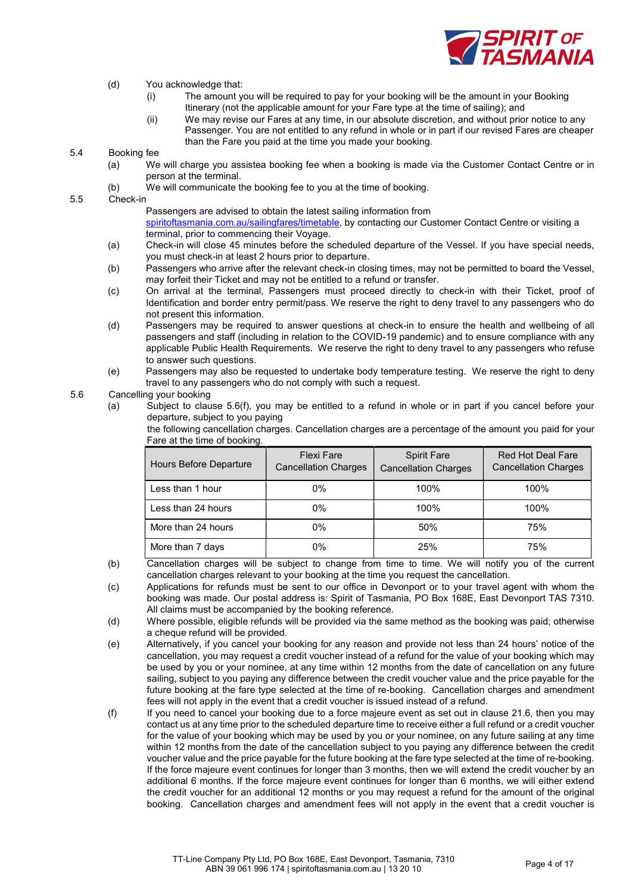

# (d) You acknowledge that:

- (i) The amount you will be required to pay for your booking will be the amount in your Booking Itinerary (not the applicable amount for your Fare type at the time of sailing); and
- (ii) We may revise our Fares at any time, in our absolute discretion, and without prior notice to any Passenger. You are not entitled to any refund in whole or in part if our revised Fares are cheaper than the Fare you paid at the time you made your booking.

5.4 Booking fee

- (a) We will charge you assistea booking fee when a booking is made via the Customer Contact Centre or in person at the terminal.
- (b) We will communicate the booking fee to you at the time of booking.

5.5 Check-in

Passengers are advised to obtain the latest sailing information from spiritoftasmania.com.au/sailingfares/timetable, by contacting our Customer Contact Centre or visiting a terminal, prior to commencing their Voyage.

- (a) Check-in will close 45 minutes before the scheduled departure of the Vessel. If you have special needs, you must check-in at least 2 hours prior to departure.
- (b) Passengers who arrive after the relevant check-in closing times, may not be permitted to board the Vessel, may forfeit their Ticket and may not be entitled to a refund or transfer.
- (c) On arrival at the terminal, Passengers must proceed directly to check-in with their Ticket, proof of Identification and border entry permit/pass. We reserve the right to deny travel to any passengers who do not present this information.
- (d) Passengers may be required to answer questions at check-in to ensure the health and wellbeing of all passengers and staff (including in relation to the COVID-19 pandemic) and to ensure compliance with any applicable Public Health Requirements. We reserve the right to deny travel to any passengers who refuse to answer such questions.
- (e) Passengers may also be requested to undertake body temperature testing. We reserve the right to deny travel to any passengers who do not comply with such a request.

# 5.6 Cancelling your booking

(a) Subject to clause 5.6(f), you may be entitled to a refund in whole or in part if you cancel before your departure, subject to you paying

the following cancellation charges. Cancellation charges are a percentage of the amount you paid for your Fare at the time of booking.

| Hours Before Departure | <b>Flexi Fare</b><br><b>Cancellation Charges</b> | <b>Spirit Fare</b><br><b>Cancellation Charges</b> | <b>Red Hot Deal Fare</b><br><b>Cancellation Charges</b> |
|------------------------|--------------------------------------------------|---------------------------------------------------|---------------------------------------------------------|
| Less than 1 hour       | 0%                                               | 100%                                              | 100%                                                    |
| Less than 24 hours     | 0%                                               | 100%                                              | 100%                                                    |
| More than 24 hours     | 0%                                               | 50%                                               | 75%                                                     |
| More than 7 days       | 0%                                               | 25%                                               | 75%                                                     |

- (b) Cancellation charges will be subject to change from time to time. We will notify you of the current cancellation charges relevant to your booking at the time you request the cancellation.
- (c) Applications for refunds must be sent to our office in Devonport or to your travel agent with whom the booking was made. Our postal address is: Spirit of Tasmania, PO Box 168E, East Devonport TAS 7310. All claims must be accompanied by the booking reference.
- (d) Where possible, eligible refunds will be provided via the same method as the booking was paid; otherwise a cheque refund will be provided.
- (e) Alternatively, if you cancel your booking for any reason and provide not less than 24 hours' notice of the cancellation, you may request a credit voucher instead of a refund for the value of your booking which may be used by you or your nominee, at any time within 12 months from the date of cancellation on any future sailing, subject to you paying any difference between the credit voucher value and the price payable for the future booking at the fare type selected at the time of re-booking. Cancellation charges and amendment fees will not apply in the event that a credit voucher is issued instead of a refund.
- (f) If you need to cancel your booking due to a force majeure event as set out in clause 21.6, then you may contact us at any time prior to the scheduled departure time to receive either a full refund or a credit voucher for the value of your booking which may be used by you or your nominee, on any future sailing at any time within 12 months from the date of the cancellation subject to you paying any difference between the credit voucher value and the price payable for the future booking at the fare type selected at the time of re-booking. If the force majeure event continues for longer than 3 months, then we will extend the credit voucher by an additional 6 months. If the force majeure event continues for longer than 6 months, we will either extend the credit voucher for an additional 12 months or you may request a refund for the amount of the original booking. Cancellation charges and amendment fees will not apply in the event that a credit voucher is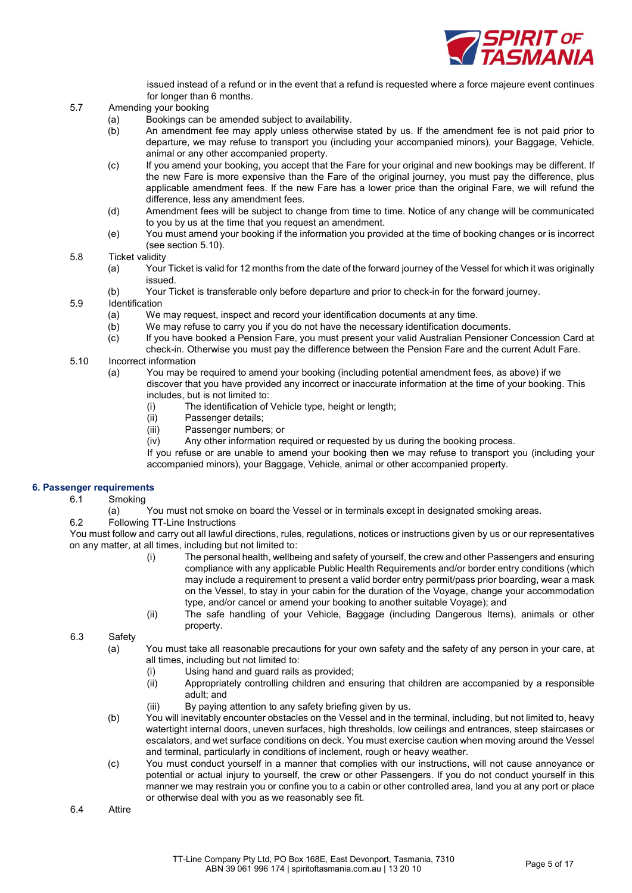

issued instead of a refund or in the event that a refund is requested where a force majeure event continues for longer than 6 months.

- 5.7 Amending your booking
	- (a) Bookings can be amended subject to availability.
	- (b) An amendment fee may apply unless otherwise stated by us. If the amendment fee is not paid prior to departure, we may refuse to transport you (including your accompanied minors), your Baggage, Vehicle, animal or any other accompanied property.
	- (c) If you amend your booking, you accept that the Fare for your original and new bookings may be different. If the new Fare is more expensive than the Fare of the original journey, you must pay the difference, plus applicable amendment fees. If the new Fare has a lower price than the original Fare, we will refund the difference, less any amendment fees.
	- (d) Amendment fees will be subject to change from time to time. Notice of any change will be communicated to you by us at the time that you request an amendment.
	- (e) You must amend your booking if the information you provided at the time of booking changes or is incorrect (see section 5.10).

#### 5.8 Ticket validity

- (a) Your Ticket is valid for 12 months from the date of the forward journey of the Vessel for which it was originally issued.
- (b) Your Ticket is transferable only before departure and prior to check-in for the forward journey.
- 5.9 Identification
	- (a) We may request, inspect and record your identification documents at any time.
	- (b) We may refuse to carry you if you do not have the necessary identification documents.
	- (c) If you have booked a Pension Fare, you must present your valid Australian Pensioner Concession Card at check-in. Otherwise you must pay the difference between the Pension Fare and the current Adult Fare.
- 5.10 Incorrect information
	- (a) You may be required to amend your booking (including potential amendment fees, as above) if we discover that you have provided any incorrect or inaccurate information at the time of your booking. This includes, but is not limited to:
		- (i) The identification of Vehicle type, height or length;
		- (ii) Passenger details;
		- (iii) Passenger numbers; or
		- (iv) Any other information required or requested by us during the booking process.

If you refuse or are unable to amend your booking then we may refuse to transport you (including your accompanied minors), your Baggage, Vehicle, animal or other accompanied property.

#### 6. Passenger requirements

6.1 Smoking

(a) You must not smoke on board the Vessel or in terminals except in designated smoking areas.

6.2 Following TT-Line Instructions

You must follow and carry out all lawful directions, rules, regulations, notices or instructions given by us or our representatives on any matter, at all times, including but not limited to:

- (i) The personal health, wellbeing and safety of yourself, the crew and other Passengers and ensuring compliance with any applicable Public Health Requirements and/or border entry conditions (which may include a requirement to present a valid border entry permit/pass prior boarding, wear a mask on the Vessel, to stay in your cabin for the duration of the Voyage, change your accommodation type, and/or cancel or amend your booking to another suitable Voyage); and
- (ii) The safe handling of your Vehicle, Baggage (including Dangerous Items), animals or other property.

6.3 Safety

- (a) You must take all reasonable precautions for your own safety and the safety of any person in your care, at all times, including but not limited to:
	- (i) Using hand and guard rails as provided;
	- (ii) Appropriately controlling children and ensuring that children are accompanied by a responsible adult; and
	- (iii) By paying attention to any safety briefing given by us.
- (b) You will inevitably encounter obstacles on the Vessel and in the terminal, including, but not limited to, heavy watertight internal doors, uneven surfaces, high thresholds, low ceilings and entrances, steep staircases or escalators, and wet surface conditions on deck. You must exercise caution when moving around the Vessel and terminal, particularly in conditions of inclement, rough or heavy weather.
- (c) You must conduct yourself in a manner that complies with our instructions, will not cause annoyance or potential or actual injury to yourself, the crew or other Passengers. If you do not conduct yourself in this manner we may restrain you or confine you to a cabin or other controlled area, land you at any port or place or otherwise deal with you as we reasonably see fit.

6.4 Attire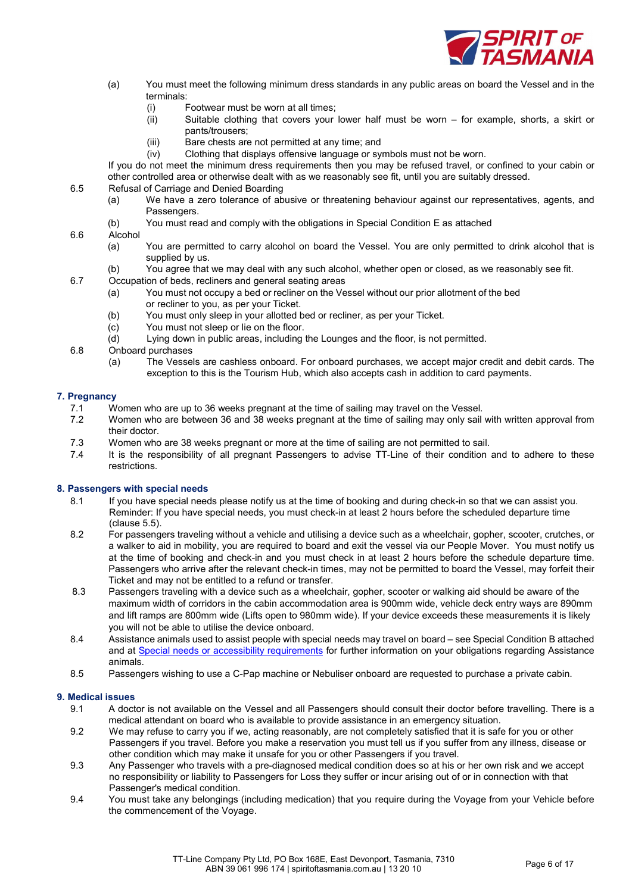

- (a) You must meet the following minimum dress standards in any public areas on board the Vessel and in the terminals:
	- (i) Footwear must be worn at all times;
	- (ii) Suitable clothing that covers your lower half must be worn for example, shorts, a skirt or pants/trousers;
	- (iii) Bare chests are not permitted at any time; and
	- (iv) Clothing that displays offensive language or symbols must not be worn.

If you do not meet the minimum dress requirements then you may be refused travel, or confined to your cabin or other controlled area or otherwise dealt with as we reasonably see fit, until you are suitably dressed.

- 6.5 Refusal of Carriage and Denied Boarding
	- (a) We have a zero tolerance of abusive or threatening behaviour against our representatives, agents, and Passengers.
	- (b) You must read and comply with the obligations in Special Condition E as attached

# 6.6 Alcohol

- (a) You are permitted to carry alcohol on board the Vessel. You are only permitted to drink alcohol that is supplied by us.
- (b) You agree that we may deal with any such alcohol, whether open or closed, as we reasonably see fit.
- 6.7 Occupation of beds, recliners and general seating areas
	- (a) You must not occupy a bed or recliner on the Vessel without our prior allotment of the bed or recliner to you, as per your Ticket.
	- (b) You must only sleep in your allotted bed or recliner, as per your Ticket.
	- (c) You must not sleep or lie on the floor.
	- (d) Lying down in public areas, including the Lounges and the floor, is not permitted.
- 6.8 Onboard purchases
	- (a) The Vessels are cashless onboard. For onboard purchases, we accept major credit and debit cards. The exception to this is the Tourism Hub, which also accepts cash in addition to card payments.

#### 7. Pregnancy

- 7.1 Women who are up to 36 weeks pregnant at the time of sailing may travel on the Vessel.
- 7.2 Women who are between 36 and 38 weeks pregnant at the time of sailing may only sail with written approval from their doctor.
- 7.3 Women who are 38 weeks pregnant or more at the time of sailing are not permitted to sail.
- 7.4 It is the responsibility of all pregnant Passengers to advise TT-Line of their condition and to adhere to these restrictions.

#### 8. Passengers with special needs

- 8.1 If you have special needs please notify us at the time of booking and during check-in so that we can assist you. Reminder: If you have special needs, you must check-in at least 2 hours before the scheduled departure time (clause 5.5).
- 8.2 For passengers traveling without a vehicle and utilising a device such as a wheelchair, gopher, scooter, crutches, or a walker to aid in mobility, you are required to board and exit the vessel via our People Mover. You must notify us at the time of booking and check-in and you must check in at least 2 hours before the schedule departure time. Passengers who arrive after the relevant check-in times, may not be permitted to board the Vessel, may forfeit their Ticket and may not be entitled to a refund or transfer.
- 8.3 Passengers traveling with a device such as a wheelchair, gopher, scooter or walking aid should be aware of the maximum width of corridors in the cabin accommodation area is 900mm wide, vehicle deck entry ways are 890mm and lift ramps are 800mm wide (Lifts open to 980mm wide). If your device exceeds these measurements it is likely you will not be able to utilise the device onboard.
- 8.4 Assistance animals used to assist people with special needs may travel on board see Special Condition B attached and at Special needs or accessibility requirements for further information on your obligations regarding Assistance animals.
- 8.5 Passengers wishing to use a C-Pap machine or Nebuliser onboard are requested to purchase a private cabin.

#### 9. Medical issues

- 9.1 A doctor is not available on the Vessel and all Passengers should consult their doctor before travelling. There is a medical attendant on board who is available to provide assistance in an emergency situation.
- 9.2 We may refuse to carry you if we, acting reasonably, are not completely satisfied that it is safe for you or other Passengers if you travel. Before you make a reservation you must tell us if you suffer from any illness, disease or other condition which may make it unsafe for you or other Passengers if you travel.
- 9.3 Any Passenger who travels with a pre-diagnosed medical condition does so at his or her own risk and we accept no responsibility or liability to Passengers for Loss they suffer or incur arising out of or in connection with that Passenger's medical condition.
- 9.4 You must take any belongings (including medication) that you require during the Voyage from your Vehicle before the commencement of the Voyage.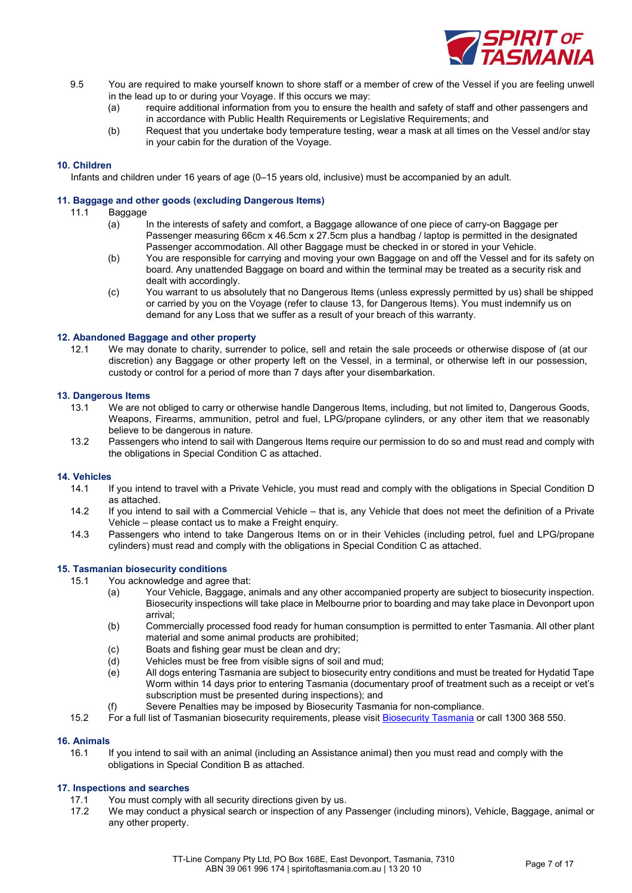

- 9.5 You are required to make yourself known to shore staff or a member of crew of the Vessel if you are feeling unwell in the lead up to or during your Voyage. If this occurs we may:
	- (a) require additional information from you to ensure the health and safety of staff and other passengers and in accordance with Public Health Requirements or Legislative Requirements; and
	- (b) Request that you undertake body temperature testing, wear a mask at all times on the Vessel and/or stay in your cabin for the duration of the Voyage.

# 10. Children

Infants and children under 16 years of age (0–15 years old, inclusive) must be accompanied by an adult.

#### 11. Baggage and other goods (excluding Dangerous Items)

- 11.1 Baggage
	- (a) In the interests of safety and comfort, a Baggage allowance of one piece of carry-on Baggage per Passenger measuring 66cm x 46.5cm x 27.5cm plus a handbag / laptop is permitted in the designated Passenger accommodation. All other Baggage must be checked in or stored in your Vehicle.
	- (b) You are responsible for carrying and moving your own Baggage on and off the Vessel and for its safety on board. Any unattended Baggage on board and within the terminal may be treated as a security risk and dealt with accordingly.
	- (c) You warrant to us absolutely that no Dangerous Items (unless expressly permitted by us) shall be shipped or carried by you on the Voyage (refer to clause 13, for Dangerous Items). You must indemnify us on demand for any Loss that we suffer as a result of your breach of this warranty.

#### 12. Abandoned Baggage and other property

12.1 We may donate to charity, surrender to police, sell and retain the sale proceeds or otherwise dispose of (at our discretion) any Baggage or other property left on the Vessel, in a terminal, or otherwise left in our possession, custody or control for a period of more than 7 days after your disembarkation.

# 13. Dangerous Items

- 13.1 We are not obliged to carry or otherwise handle Dangerous Items, including, but not limited to, Dangerous Goods, Weapons, Firearms, ammunition, petrol and fuel, LPG/propane cylinders, or any other item that we reasonably believe to be dangerous in nature.
- 13.2 Passengers who intend to sail with Dangerous Items require our permission to do so and must read and comply with the obligations in Special Condition C as attached.

# 14. Vehicles

- 14.1 If you intend to travel with a Private Vehicle, you must read and comply with the obligations in Special Condition D as attached.
- 14.2 If you intend to sail with a Commercial Vehicle that is, any Vehicle that does not meet the definition of a Private Vehicle – please contact us to make a Freight enquiry.
- 14.3 Passengers who intend to take Dangerous Items on or in their Vehicles (including petrol, fuel and LPG/propane cylinders) must read and comply with the obligations in Special Condition C as attached.

#### 15. Tasmanian biosecurity conditions

- 15.1 You acknowledge and agree that:
	- (a) Your Vehicle, Baggage, animals and any other accompanied property are subject to biosecurity inspection. Biosecurity inspections will take place in Melbourne prior to boarding and may take place in Devonport upon arrival;
	- (b) Commercially processed food ready for human consumption is permitted to enter Tasmania. All other plant material and some animal products are prohibited;
	- (c) Boats and fishing gear must be clean and dry;
	- (d) Vehicles must be free from visible signs of soil and mud;
	- (e) All dogs entering Tasmania are subject to biosecurity entry conditions and must be treated for Hydatid Tape Worm within 14 days prior to entering Tasmania (documentary proof of treatment such as a receipt or vet's subscription must be presented during inspections); and
	- Severe Penalties may be imposed by Biosecurity Tasmania for non-compliance.
- 15.2 For a full list of Tasmanian biosecurity requirements, please visit Biosecurity Tasmania or call 1300 368 550.

# 16. Animals

16.1 If you intend to sail with an animal (including an Assistance animal) then you must read and comply with the obligations in Special Condition B as attached.

# 17. Inspections and searches

- 17.1 You must comply with all security directions given by us.
- 17.2 We may conduct a physical search or inspection of any Passenger (including minors), Vehicle, Baggage, animal or any other property.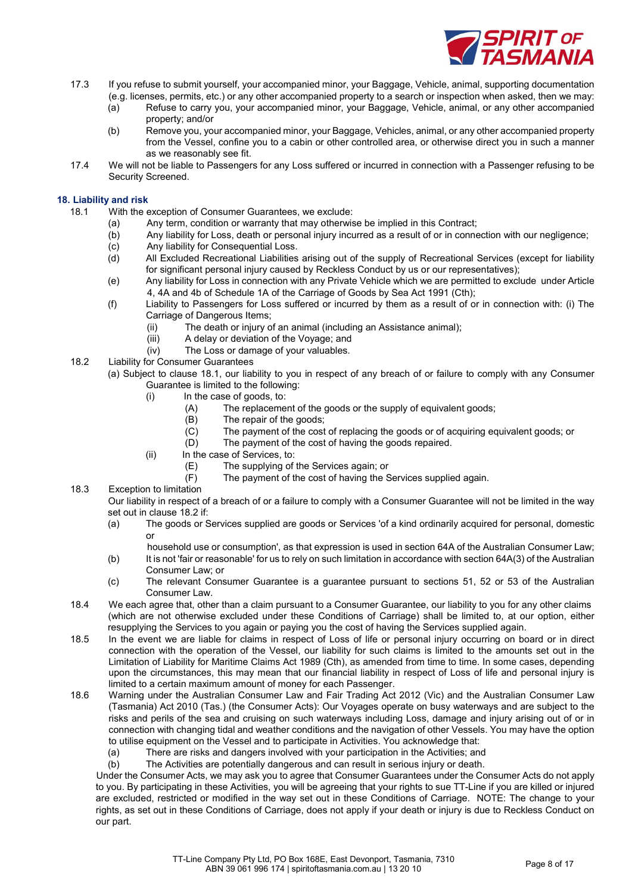

- 17.3 If you refuse to submit yourself, your accompanied minor, your Baggage, Vehicle, animal, supporting documentation (e.g. licenses, permits, etc.) or any other accompanied property to a search or inspection when asked, then we may:
	- (a) Refuse to carry you, your accompanied minor, your Baggage, Vehicle, animal, or any other accompanied property; and/or
	- (b) Remove you, your accompanied minor, your Baggage, Vehicles, animal, or any other accompanied property from the Vessel, confine you to a cabin or other controlled area, or otherwise direct you in such a manner as we reasonably see fit.
- 17.4 We will not be liable to Passengers for any Loss suffered or incurred in connection with a Passenger refusing to be Security Screened.

# 18. Liability and risk

- 18.1 With the exception of Consumer Guarantees, we exclude:
	- (a) Any term, condition or warranty that may otherwise be implied in this Contract;
	- (b) Any liability for Loss, death or personal injury incurred as a result of or in connection with our negligence;
	- (c) Any liability for Consequential Loss.
	- (d) All Excluded Recreational Liabilities arising out of the supply of Recreational Services (except for liability for significant personal injury caused by Reckless Conduct by us or our representatives);
	- (e) Any liability for Loss in connection with any Private Vehicle which we are permitted to exclude under Article 4, 4A and 4b of Schedule 1A of the Carriage of Goods by Sea Act 1991 (Cth);
	- (f) Liability to Passengers for Loss suffered or incurred by them as a result of or in connection with: (i) The Carriage of Dangerous Items;
		- (ii) The death or injury of an animal (including an Assistance animal);
		- (iii) A delay or deviation of the Voyage; and
		- (iv) The Loss or damage of your valuables.
- 18.2 Liability for Consumer Guarantees (a) Subject to clause 18.1, our liability to you in respect of any breach of or failure to comply with any Consumer
	- Guarantee is limited to the following: (i) In the case of goods, to:
		- (A) The replacement of the goods or the supply of equivalent goods;
		- (B) The repair of the goods;
		- (C) The payment of the cost of replacing the goods or of acquiring equivalent goods; or

(D) The payment of the cost of having the goods repaired.

- (ii) In the case of Services, to:
	- (E) The supplying of the Services again; or
	- (F) The payment of the cost of having the Services supplied again.
- 18.3 Exception to limitation

Our liability in respect of a breach of or a failure to comply with a Consumer Guarantee will not be limited in the way set out in clause 18.2 if:

(a) The goods or Services supplied are goods or Services 'of a kind ordinarily acquired for personal, domestic or

household use or consumption', as that expression is used in section 64A of the Australian Consumer Law;

- (b) It is not 'fair or reasonable' for us to rely on such limitation in accordance with section 64A(3) of the Australian Consumer Law; or
- (c) The relevant Consumer Guarantee is a guarantee pursuant to sections 51, 52 or 53 of the Australian Consumer Law.
- 18.4 We each agree that, other than a claim pursuant to a Consumer Guarantee, our liability to you for any other claims (which are not otherwise excluded under these Conditions of Carriage) shall be limited to, at our option, either resupplying the Services to you again or paying you the cost of having the Services supplied again.
- 18.5 In the event we are liable for claims in respect of Loss of life or personal injury occurring on board or in direct connection with the operation of the Vessel, our liability for such claims is limited to the amounts set out in the Limitation of Liability for Maritime Claims Act 1989 (Cth), as amended from time to time. In some cases, depending upon the circumstances, this may mean that our financial liability in respect of Loss of life and personal injury is limited to a certain maximum amount of money for each Passenger.
- 18.6 Warning under the Australian Consumer Law and Fair Trading Act 2012 (Vic) and the Australian Consumer Law (Tasmania) Act 2010 (Tas.) (the Consumer Acts): Our Voyages operate on busy waterways and are subject to the risks and perils of the sea and cruising on such waterways including Loss, damage and injury arising out of or in connection with changing tidal and weather conditions and the navigation of other Vessels. You may have the option to utilise equipment on the Vessel and to participate in Activities. You acknowledge that:
	- (a) There are risks and dangers involved with your participation in the Activities; and

(b) The Activities are potentially dangerous and can result in serious injury or death.

Under the Consumer Acts, we may ask you to agree that Consumer Guarantees under the Consumer Acts do not apply to you. By participating in these Activities, you will be agreeing that your rights to sue TT-Line if you are killed or injured are excluded, restricted or modified in the way set out in these Conditions of Carriage. NOTE: The change to your rights, as set out in these Conditions of Carriage, does not apply if your death or injury is due to Reckless Conduct on our part.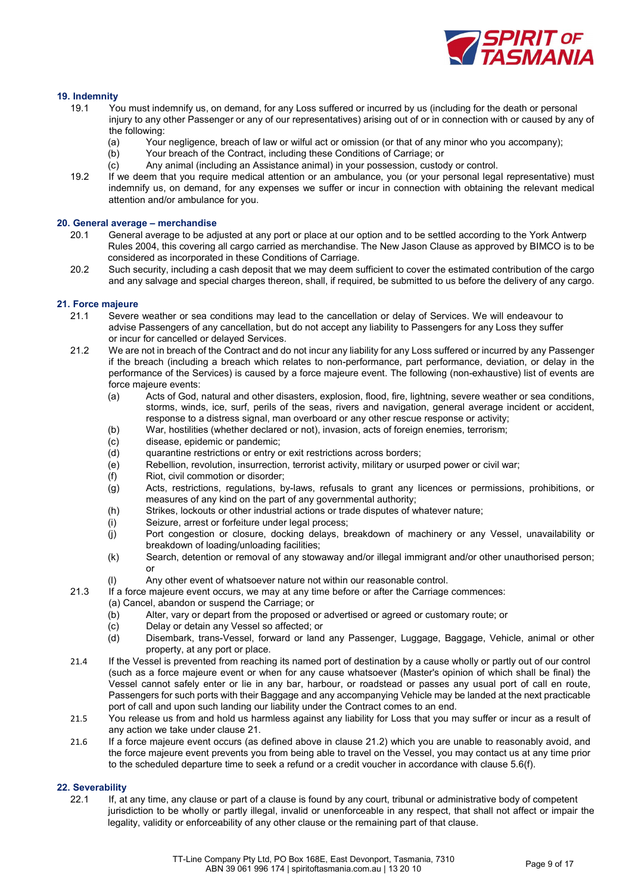

# 19. Indemnity

- 19.1 You must indemnify us, on demand, for any Loss suffered or incurred by us (including for the death or personal injury to any other Passenger or any of our representatives) arising out of or in connection with or caused by any of the following:
	- (a) Your negligence, breach of law or wilful act or omission (or that of any minor who you accompany);
	- (b) Your breach of the Contract, including these Conditions of Carriage; or
	- (c) Any animal (including an Assistance animal) in your possession, custody or control.
- 19.2 If we deem that you require medical attention or an ambulance, you (or your personal legal representative) must indemnify us, on demand, for any expenses we suffer or incur in connection with obtaining the relevant medical attention and/or ambulance for you.

#### 20. General average – merchandise

- 20.1 General average to be adjusted at any port or place at our option and to be settled according to the York Antwerp Rules 2004, this covering all cargo carried as merchandise. The New Jason Clause as approved by BIMCO is to be considered as incorporated in these Conditions of Carriage.
- 20.2 Such security, including a cash deposit that we may deem sufficient to cover the estimated contribution of the cargo and any salvage and special charges thereon, shall, if required, be submitted to us before the delivery of any cargo.

# 21. Force majeure

- 21.1 Severe weather or sea conditions may lead to the cancellation or delay of Services. We will endeavour to advise Passengers of any cancellation, but do not accept any liability to Passengers for any Loss they suffer or incur for cancelled or delayed Services.
- 21.2 We are not in breach of the Contract and do not incur any liability for any Loss suffered or incurred by any Passenger if the breach (including a breach which relates to non-performance, part performance, deviation, or delay in the performance of the Services) is caused by a force majeure event. The following (non-exhaustive) list of events are force majeure events:
	- (a) Acts of God, natural and other disasters, explosion, flood, fire, lightning, severe weather or sea conditions, storms, winds, ice, surf, perils of the seas, rivers and navigation, general average incident or accident, response to a distress signal, man overboard or any other rescue response or activity;
	- (b) War, hostilities (whether declared or not), invasion, acts of foreign enemies, terrorism;
	- (c) disease, epidemic or pandemic;
	- (d) quarantine restrictions or entry or exit restrictions across borders;
	- (e) Rebellion, revolution, insurrection, terrorist activity, military or usurped power or civil war;
	- (f) Riot, civil commotion or disorder;
	- (g) Acts, restrictions, regulations, by-laws, refusals to grant any licences or permissions, prohibitions, or measures of any kind on the part of any governmental authority;
	- (h) Strikes, lockouts or other industrial actions or trade disputes of whatever nature;
	- (i) Seizure, arrest or forfeiture under legal process;
	- (j) Port congestion or closure, docking delays, breakdown of machinery or any Vessel, unavailability or breakdown of loading/unloading facilities;
	- (k) Search, detention or removal of any stowaway and/or illegal immigrant and/or other unauthorised person; or
	- (l) Any other event of whatsoever nature not within our reasonable control.
- 21.3 If a force majeure event occurs, we may at any time before or after the Carriage commences:
	- (a) Cancel, abandon or suspend the Carriage; or
		- (b) Alter, vary or depart from the proposed or advertised or agreed or customary route; or
		- (c) Delay or detain any Vessel so affected; or
		- (d) Disembark, trans-Vessel, forward or land any Passenger, Luggage, Baggage, Vehicle, animal or other property, at any port or place.
- 21.4 If the Vessel is prevented from reaching its named port of destination by a cause wholly or partly out of our control (such as a force majeure event or when for any cause whatsoever (Master's opinion of which shall be final) the Vessel cannot safely enter or lie in any bar, harbour, or roadstead or passes any usual port of call en route, Passengers for such ports with their Baggage and any accompanying Vehicle may be landed at the next practicable port of call and upon such landing our liability under the Contract comes to an end.
- 21.5 You release us from and hold us harmless against any liability for Loss that you may suffer or incur as a result of any action we take under clause 21.
- 21.6 If a force majeure event occurs (as defined above in clause 21.2) which you are unable to reasonably avoid, and the force majeure event prevents you from being able to travel on the Vessel, you may contact us at any time prior to the scheduled departure time to seek a refund or a credit voucher in accordance with clause 5.6(f).

# 22. Severability

22.1 If, at any time, any clause or part of a clause is found by any court, tribunal or administrative body of competent jurisdiction to be wholly or partly illegal, invalid or unenforceable in any respect, that shall not affect or impair the legality, validity or enforceability of any other clause or the remaining part of that clause.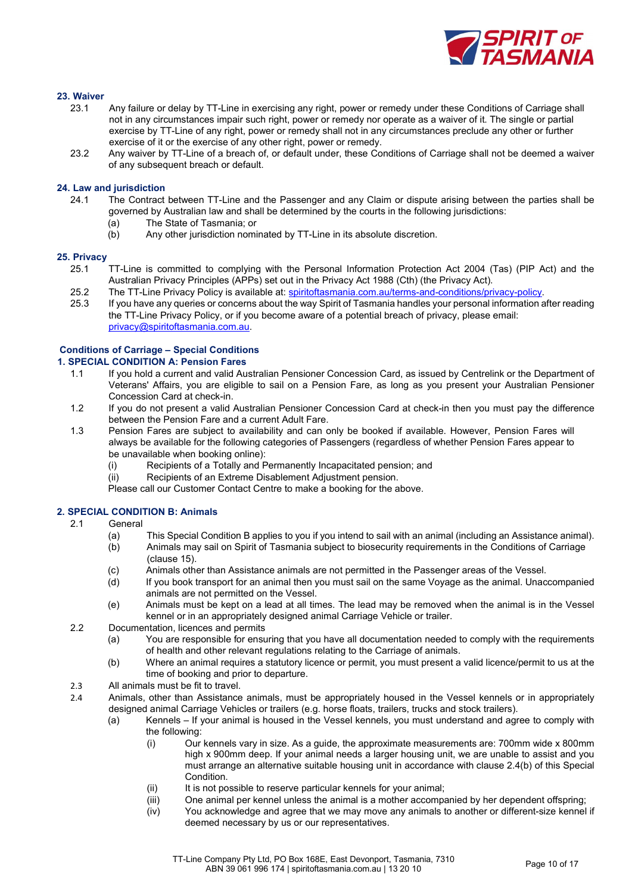

# 23. Waiver

- 23.1 Any failure or delay by TT-Line in exercising any right, power or remedy under these Conditions of Carriage shall not in any circumstances impair such right, power or remedy nor operate as a waiver of it. The single or partial exercise by TT-Line of any right, power or remedy shall not in any circumstances preclude any other or further exercise of it or the exercise of any other right, power or remedy.
- 23.2 Any waiver by TT-Line of a breach of, or default under, these Conditions of Carriage shall not be deemed a waiver of any subsequent breach or default.

# 24. Law and jurisdiction

- 24.1 The Contract between TT-Line and the Passenger and any Claim or dispute arising between the parties shall be governed by Australian law and shall be determined by the courts in the following jurisdictions:
	- (a) The State of Tasmania; or
	- (b) Any other jurisdiction nominated by TT-Line in its absolute discretion.

#### 25. Privacy

- 25.1 TT-Line is committed to complying with the Personal Information Protection Act 2004 (Tas) (PIP Act) and the Australian Privacy Principles (APPs) set out in the Privacy Act 1988 (Cth) (the Privacy Act).
- 25.2 The TT-Line Privacy Policy is available at: spiritoftasmania.com.au/terms-and-conditions/privacy-policy.
- 25.3 If you have any queries or concerns about the way Spirit of Tasmania handles your personal information after reading the TT-Line Privacy Policy, or if you become aware of a potential breach of privacy, please email: privacy@spiritoftasmania.com.au.

# Conditions of Carriage – Special Conditions

# 1. SPECIAL CONDITION A: Pension Fares

- 1.1 If you hold a current and valid Australian Pensioner Concession Card, as issued by Centrelink or the Department of Veterans' Affairs, you are eligible to sail on a Pension Fare, as long as you present your Australian Pensioner Concession Card at check-in.
- 1.2 If you do not present a valid Australian Pensioner Concession Card at check-in then you must pay the difference between the Pension Fare and a current Adult Fare.
- 1.3 Pension Fares are subject to availability and can only be booked if available. However, Pension Fares will always be available for the following categories of Passengers (regardless of whether Pension Fares appear to be unavailable when booking online):
	- (i) Recipients of a Totally and Permanently Incapacitated pension; and
	- (ii) Recipients of an Extreme Disablement Adjustment pension.

Please call our Customer Contact Centre to make a booking for the above.

#### 2. SPECIAL CONDITION B: Animals

- 2.1 General
	- (a) This Special Condition B applies to you if you intend to sail with an animal (including an Assistance animal).
	- (b) Animals may sail on Spirit of Tasmania subject to biosecurity requirements in the Conditions of Carriage (clause 15).
	- (c) Animals other than Assistance animals are not permitted in the Passenger areas of the Vessel.
	- (d) If you book transport for an animal then you must sail on the same Voyage as the animal. Unaccompanied animals are not permitted on the Vessel.
	- (e) Animals must be kept on a lead at all times. The lead may be removed when the animal is in the Vessel kennel or in an appropriately designed animal Carriage Vehicle or trailer.
- 2.2 Documentation, licences and permits
	- (a) You are responsible for ensuring that you have all documentation needed to comply with the requirements of health and other relevant regulations relating to the Carriage of animals.
	- (b) Where an animal requires a statutory licence or permit, you must present a valid licence/permit to us at the time of booking and prior to departure.
- 2.3 All animals must be fit to travel.
- 2.4 Animals, other than Assistance animals, must be appropriately housed in the Vessel kennels or in appropriately designed animal Carriage Vehicles or trailers (e.g. horse floats, trailers, trucks and stock trailers).
	- (a) Kennels If your animal is housed in the Vessel kennels, you must understand and agree to comply with the following:
		- (i) Our kennels vary in size. As a guide, the approximate measurements are: 700mm wide x 800mm high x 900mm deep. If your animal needs a larger housing unit, we are unable to assist and you must arrange an alternative suitable housing unit in accordance with clause 2.4(b) of this Special Condition.
		- (ii) It is not possible to reserve particular kennels for your animal;
		- (iii) One animal per kennel unless the animal is a mother accompanied by her dependent offspring;
		- (iv) You acknowledge and agree that we may move any animals to another or different-size kennel if deemed necessary by us or our representatives.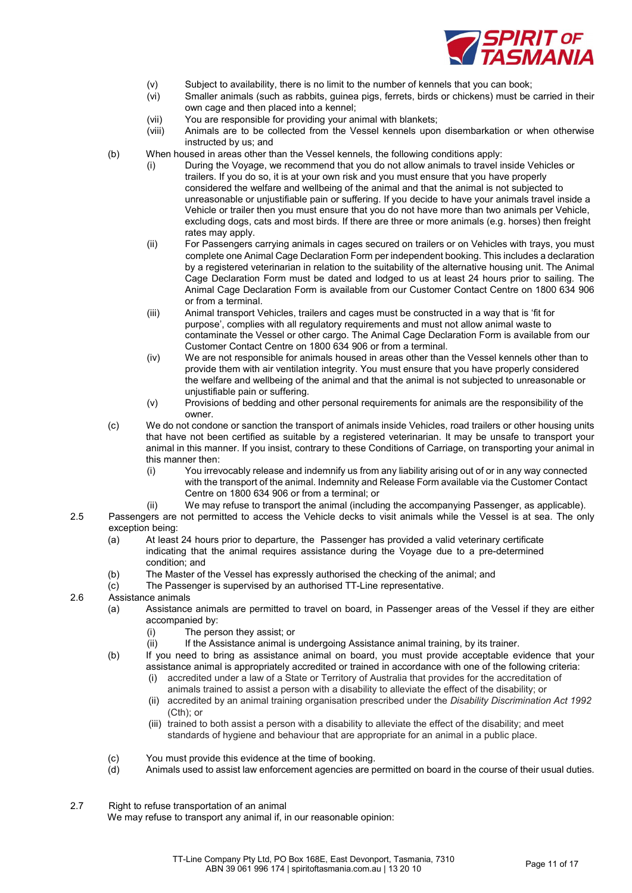

- 
- (v) Subject to availability, there is no limit to the number of kennels that you can book;<br>(vi) Smaller animals (such as rabbits, quinea pigs, ferrets, birds or chickens) must be Smaller animals (such as rabbits, guinea pigs, ferrets, birds or chickens) must be carried in their own cage and then placed into a kennel;
- (vii) You are responsible for providing your animal with blankets;
- (viii) Animals are to be collected from the Vessel kennels upon disembarkation or when otherwise instructed by us; and
- (b) When housed in areas other than the Vessel kennels, the following conditions apply:
	- (i) During the Voyage, we recommend that you do not allow animals to travel inside Vehicles or trailers. If you do so, it is at your own risk and you must ensure that you have properly considered the welfare and wellbeing of the animal and that the animal is not subjected to unreasonable or unjustifiable pain or suffering. If you decide to have your animals travel inside a Vehicle or trailer then you must ensure that you do not have more than two animals per Vehicle, excluding dogs, cats and most birds. If there are three or more animals (e.g. horses) then freight rates may apply.
	- (ii) For Passengers carrying animals in cages secured on trailers or on Vehicles with trays, you must complete one Animal Cage Declaration Form per independent booking. This includes a declaration by a registered veterinarian in relation to the suitability of the alternative housing unit. The Animal Cage Declaration Form must be dated and lodged to us at least 24 hours prior to sailing. The Animal Cage Declaration Form is available from our Customer Contact Centre on 1800 634 906 or from a terminal.
	- (iii) Animal transport Vehicles, trailers and cages must be constructed in a way that is 'fit for purpose', complies with all regulatory requirements and must not allow animal waste to contaminate the Vessel or other cargo. The Animal Cage Declaration Form is available from our Customer Contact Centre on 1800 634 906 or from a terminal.
	- (iv) We are not responsible for animals housed in areas other than the Vessel kennels other than to provide them with air ventilation integrity. You must ensure that you have properly considered the welfare and wellbeing of the animal and that the animal is not subjected to unreasonable or unjustifiable pain or suffering.
	- (v) Provisions of bedding and other personal requirements for animals are the responsibility of the owner.
- (c) We do not condone or sanction the transport of animals inside Vehicles, road trailers or other housing units that have not been certified as suitable by a registered veterinarian. It may be unsafe to transport your animal in this manner. If you insist, contrary to these Conditions of Carriage, on transporting your animal in this manner then:
	- (i) You irrevocably release and indemnify us from any liability arising out of or in any way connected with the transport of the animal. Indemnity and Release Form available via the Customer Contact Centre on 1800 634 906 or from a terminal; or
- (ii) We may refuse to transport the animal (including the accompanying Passenger, as applicable). 2.5 Passengers are not permitted to access the Vehicle decks to visit animals while the Vessel is at sea. The only exception being:
	- (a) At least 24 hours prior to departure, the Passenger has provided a valid veterinary certificate indicating that the animal requires assistance during the Voyage due to a pre-determined condition; and
	- (b) The Master of the Vessel has expressly authorised the checking of the animal; and
	- (c) The Passenger is supervised by an authorised TT-Line representative.

2.6 Assistance animals

- (a) Assistance animals are permitted to travel on board, in Passenger areas of the Vessel if they are either accompanied by:
	- (i) The person they assist; or
	- (ii) If the Assistance animal is undergoing Assistance animal training, by its trainer.
- (b) If you need to bring as assistance animal on board, you must provide acceptable evidence that your assistance animal is appropriately accredited or trained in accordance with one of the following criteria:
	- accredited under a law of a State or Territory of Australia that provides for the accreditation of
	- animals trained to assist a person with a disability to alleviate the effect of the disability; or (ii) accredited by an animal training organisation prescribed under the Disability Discrimination Act 1992
		- (Cth); or
	- (iii) trained to both assist a person with a disability to alleviate the effect of the disability; and meet standards of hygiene and behaviour that are appropriate for an animal in a public place.
- (c) You must provide this evidence at the time of booking.
- (d) Animals used to assist law enforcement agencies are permitted on board in the course of their usual duties.
- 2.7 Right to refuse transportation of an animal We may refuse to transport any animal if, in our reasonable opinion: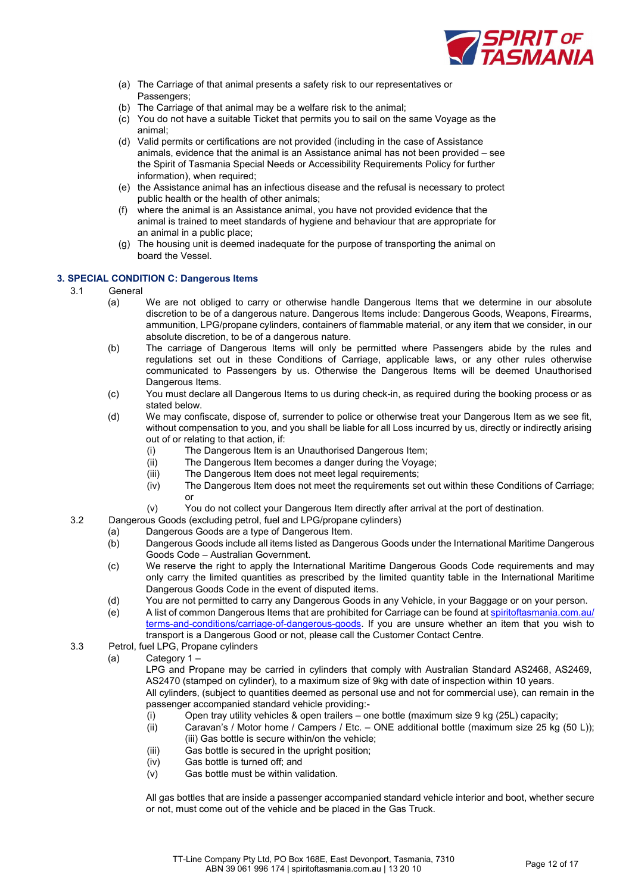

- (a) The Carriage of that animal presents a safety risk to our representatives or Passengers;
- (b) The Carriage of that animal may be a welfare risk to the animal;
- (c) You do not have a suitable Ticket that permits you to sail on the same Voyage as the animal;
- (d) Valid permits or certifications are not provided (including in the case of Assistance animals, evidence that the animal is an Assistance animal has not been provided – see the Spirit of Tasmania Special Needs or Accessibility Requirements Policy for further information), when required;
- (e) the Assistance animal has an infectious disease and the refusal is necessary to protect public health or the health of other animals;
- (f) where the animal is an Assistance animal, you have not provided evidence that the animal is trained to meet standards of hygiene and behaviour that are appropriate for an animal in a public place;
- (g) The housing unit is deemed inadequate for the purpose of transporting the animal on board the Vessel.

# 3. SPECIAL CONDITION C: Dangerous Items

- 3.1 General
	- (a) We are not obliged to carry or otherwise handle Dangerous Items that we determine in our absolute discretion to be of a dangerous nature. Dangerous Items include: Dangerous Goods, Weapons, Firearms, ammunition, LPG/propane cylinders, containers of flammable material, or any item that we consider, in our absolute discretion, to be of a dangerous nature.
	- (b) The carriage of Dangerous Items will only be permitted where Passengers abide by the rules and regulations set out in these Conditions of Carriage, applicable laws, or any other rules otherwise communicated to Passengers by us. Otherwise the Dangerous Items will be deemed Unauthorised Dangerous Items.
	- (c) You must declare all Dangerous Items to us during check-in, as required during the booking process or as stated below.
	- (d) We may confiscate, dispose of, surrender to police or otherwise treat your Dangerous Item as we see fit, without compensation to you, and you shall be liable for all Loss incurred by us, directly or indirectly arising out of or relating to that action, if:
		- (i) The Dangerous Item is an Unauthorised Dangerous Item;
		- (ii) The Dangerous Item becomes a danger during the Voyage;
		- (iii) The Dangerous Item does not meet legal requirements;
		- (iv) The Dangerous Item does not meet the requirements set out within these Conditions of Carriage; or
		- (v) You do not collect your Dangerous Item directly after arrival at the port of destination.
- 3.2 Dangerous Goods (excluding petrol, fuel and LPG/propane cylinders)
	- (a) Dangerous Goods are a type of Dangerous Item.
		- (b) Dangerous Goods include all items listed as Dangerous Goods under the International Maritime Dangerous Goods Code – Australian Government.
		- (c) We reserve the right to apply the International Maritime Dangerous Goods Code requirements and may only carry the limited quantities as prescribed by the limited quantity table in the International Maritime Dangerous Goods Code in the event of disputed items.
		- (d) You are not permitted to carry any Dangerous Goods in any Vehicle, in your Baggage or on your person.
		- (e) A list of common Dangerous Items that are prohibited for Carriage can be found at spiritoftasmania.com.au/ terms-and-conditions/carriage-of-dangerous-goods. If you are unsure whether an item that you wish to transport is a Dangerous Good or not, please call the Customer Contact Centre.
- 3.3 Petrol, fuel LPG, Propane cylinders
	- (a) Category 1 –

LPG and Propane may be carried in cylinders that comply with Australian Standard AS2468, AS2469, AS2470 (stamped on cylinder), to a maximum size of 9kg with date of inspection within 10 years. All cylinders, (subject to quantities deemed as personal use and not for commercial use), can remain in the passenger accompanied standard vehicle providing:-

- 
- (i) Open tray utility vehicles & open trailers one bottle (maximum size 9 kg (25L) capacity;<br>(ii) Caravan's / Motor home / Campers / Etc. ONE additional bottle (maximum size 25 kg Caravan's / Motor home / Campers / Etc. – ONE additional bottle (maximum size 25 kg (50 L)); (iii) Gas bottle is secure within/on the vehicle;
- (iii) Gas bottle is secured in the upright position;
- (iv) Gas bottle is turned off; and
- (v) Gas bottle must be within validation.

All gas bottles that are inside a passenger accompanied standard vehicle interior and boot, whether secure or not, must come out of the vehicle and be placed in the Gas Truck.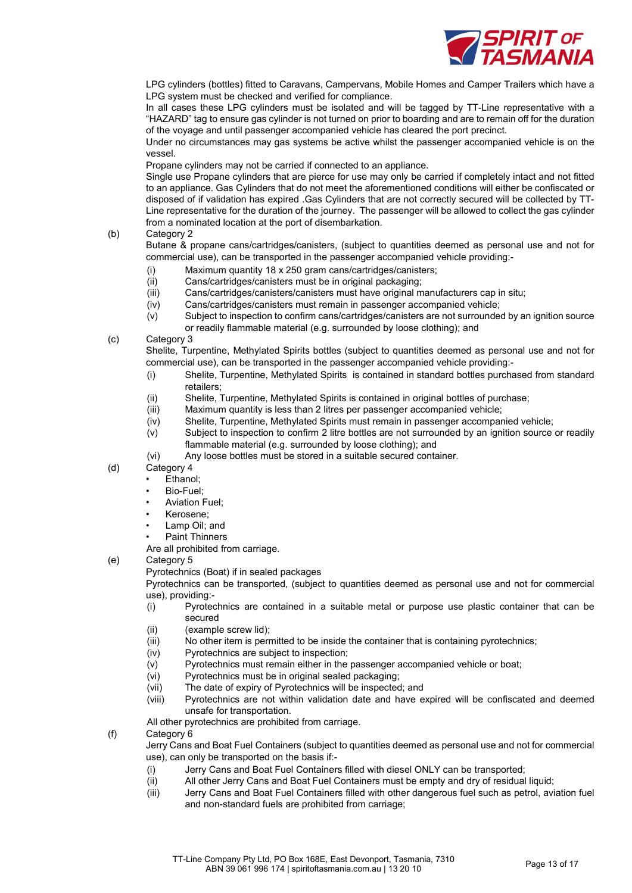

LPG cylinders (bottles) fitted to Caravans, Campervans, Mobile Homes and Camper Trailers which have a LPG system must be checked and verified for compliance.

In all cases these LPG cylinders must be isolated and will be tagged by TT-Line representative with a "HAZARD" tag to ensure gas cylinder is not turned on prior to boarding and are to remain off for the duration of the voyage and until passenger accompanied vehicle has cleared the port precinct.

Under no circumstances may gas systems be active whilst the passenger accompanied vehicle is on the vessel.

Propane cylinders may not be carried if connected to an appliance.

Single use Propane cylinders that are pierce for use may only be carried if completely intact and not fitted to an appliance. Gas Cylinders that do not meet the aforementioned conditions will either be confiscated or disposed of if validation has expired .Gas Cylinders that are not correctly secured will be collected by TT-Line representative for the duration of the journey. The passenger will be allowed to collect the gas cylinder from a nominated location at the port of disembarkation.

# (b) Category 2

Butane & propane cans/cartridges/canisters, (subject to quantities deemed as personal use and not for commercial use), can be transported in the passenger accompanied vehicle providing:-

- (i) Maximum quantity 18 x 250 gram cans/cartridges/canisters;
- (ii) Cans/cartridges/canisters must be in original packaging;
- (iii) Cans/cartridges/canisters/canisters must have original manufacturers cap in situ;
- (iv) Cans/cartridges/canisters must remain in passenger accompanied vehicle;
- (v) Subject to inspection to confirm cans/cartridges/canisters are not surrounded by an ignition source or readily flammable material (e.g. surrounded by loose clothing); and

# (c) Category 3

Shelite, Turpentine, Methylated Spirits bottles (subject to quantities deemed as personal use and not for commercial use), can be transported in the passenger accompanied vehicle providing:-

- (i) Shelite, Turpentine, Methylated Spirits is contained in standard bottles purchased from standard retailers;
- (ii) Shelite, Turpentine, Methylated Spirits is contained in original bottles of purchase;
- (iii) Maximum quantity is less than 2 litres per passenger accompanied vehicle;
- (iv) Shelite, Turpentine, Methylated Spirits must remain in passenger accompanied vehicle;
- (v) Subject to inspection to confirm 2 litre bottles are not surrounded by an ignition source or readily flammable material (e.g. surrounded by loose clothing); and
- (vi) Any loose bottles must be stored in a suitable secured container.
- (d) Category 4
	- Ethanol;
	- Bio-Fuel;
	- Aviation Fuel;
	- Kerosene;
	- Lamp Oil; and
	- Paint Thinners

Are all prohibited from carriage.

# (e) Category 5

Pyrotechnics (Boat) if in sealed packages

Pyrotechnics can be transported, (subject to quantities deemed as personal use and not for commercial use), providing:-

- (i) Pyrotechnics are contained in a suitable metal or purpose use plastic container that can be secured
- (ii) (example screw lid);
- (iii) No other item is permitted to be inside the container that is containing pyrotechnics;
- (iv) Pyrotechnics are subject to inspection;
- (v) Pyrotechnics must remain either in the passenger accompanied vehicle or boat;
- (vi) Pyrotechnics must be in original sealed packaging;
- (vii) The date of expiry of Pyrotechnics will be inspected; and
- (viii) Pyrotechnics are not within validation date and have expired will be confiscated and deemed unsafe for transportation.

All other pyrotechnics are prohibited from carriage.

- (f) Category 6
	- Jerry Cans and Boat Fuel Containers (subject to quantities deemed as personal use and not for commercial use), can only be transported on the basis if:-
		- (i) Jerry Cans and Boat Fuel Containers filled with diesel ONLY can be transported;
		- (ii) All other Jerry Cans and Boat Fuel Containers must be empty and dry of residual liquid;
		- (iii) Jerry Cans and Boat Fuel Containers filled with other dangerous fuel such as petrol, aviation fuel and non-standard fuels are prohibited from carriage;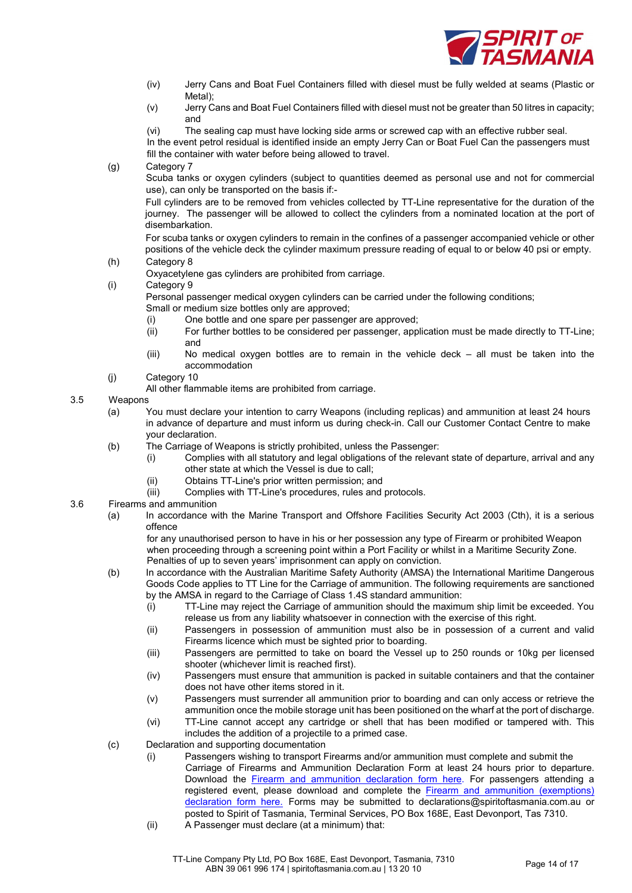

- (iv) Jerry Cans and Boat Fuel Containers filled with diesel must be fully welded at seams (Plastic or Metal)<sup>.</sup>
- (v) Jerry Cans and Boat Fuel Containers filled with diesel must not be greater than 50 litres in capacity; and

(vi) The sealing cap must have locking side arms or screwed cap with an effective rubber seal. In the event petrol residual is identified inside an empty Jerry Can or Boat Fuel Can the passengers must

fill the container with water before being allowed to travel.

(g) Category 7

Scuba tanks or oxygen cylinders (subject to quantities deemed as personal use and not for commercial use), can only be transported on the basis if:-

Full cylinders are to be removed from vehicles collected by TT-Line representative for the duration of the journey. The passenger will be allowed to collect the cylinders from a nominated location at the port of disembarkation.

For scuba tanks or oxygen cylinders to remain in the confines of a passenger accompanied vehicle or other positions of the vehicle deck the cylinder maximum pressure reading of equal to or below 40 psi or empty.

- (h) Category 8
	- Oxyacetylene gas cylinders are prohibited from carriage.
- (i) Category 9

Personal passenger medical oxygen cylinders can be carried under the following conditions; Small or medium size bottles only are approved;

- (i) One bottle and one spare per passenger are approved;
- (ii) For further bottles to be considered per passenger, application must be made directly to TT-Line; and
- (iii) No medical oxygen bottles are to remain in the vehicle deck all must be taken into the accommodation
- (j) Category 10
	- All other flammable items are prohibited from carriage.

# 3.5 Weapons

- (a) You must declare your intention to carry Weapons (including replicas) and ammunition at least 24 hours in advance of departure and must inform us during check-in. Call our Customer Contact Centre to make your declaration.
- (b) The Carriage of Weapons is strictly prohibited, unless the Passenger:
	- (i) Complies with all statutory and legal obligations of the relevant state of departure, arrival and any other state at which the Vessel is due to call;
		- (ii) Obtains TT-Line's prior written permission; and
		- (iii) Complies with TT-Line's procedures, rules and protocols.
- 3.6 Firearms and ammunition
	- (a) In accordance with the Marine Transport and Offshore Facilities Security Act 2003 (Cth), it is a serious offence

for any unauthorised person to have in his or her possession any type of Firearm or prohibited Weapon when proceeding through a screening point within a Port Facility or whilst in a Maritime Security Zone. Penalties of up to seven years' imprisonment can apply on conviction.

- (b) In accordance with the Australian Maritime Safety Authority (AMSA) the International Maritime Dangerous Goods Code applies to TT Line for the Carriage of ammunition. The following requirements are sanctioned by the AMSA in regard to the Carriage of Class 1.4S standard ammunition:
	- (i) TT-Line may reject the Carriage of ammunition should the maximum ship limit be exceeded. You release us from any liability whatsoever in connection with the exercise of this right.
	- (ii) Passengers in possession of ammunition must also be in possession of a current and valid Firearms licence which must be sighted prior to boarding.
	- (iii) Passengers are permitted to take on board the Vessel up to 250 rounds or 10kg per licensed shooter (whichever limit is reached first).
	- (iv) Passengers must ensure that ammunition is packed in suitable containers and that the container does not have other items stored in it.
	- (v) Passengers must surrender all ammunition prior to boarding and can only access or retrieve the ammunition once the mobile storage unit has been positioned on the wharf at the port of discharge.
	- (vi) TT-Line cannot accept any cartridge or shell that has been modified or tampered with. This includes the addition of a projectile to a primed case.
- (c) Declaration and supporting documentation
	- (i) Passengers wishing to transport Firearms and/or ammunition must complete and submit the Carriage of Firearms and Ammunition Declaration Form at least 24 hours prior to departure. Download the Firearm and ammunition declaration form here. For passengers attending a registered event, please download and complete the Firearm and ammunition (exemptions) declaration form here. Forms may be submitted to declarations@spiritoftasmania.com.au or posted to Spirit of Tasmania, Terminal Services, PO Box 168E, East Devonport, Tas 7310.
	- (ii) A Passenger must declare (at a minimum) that: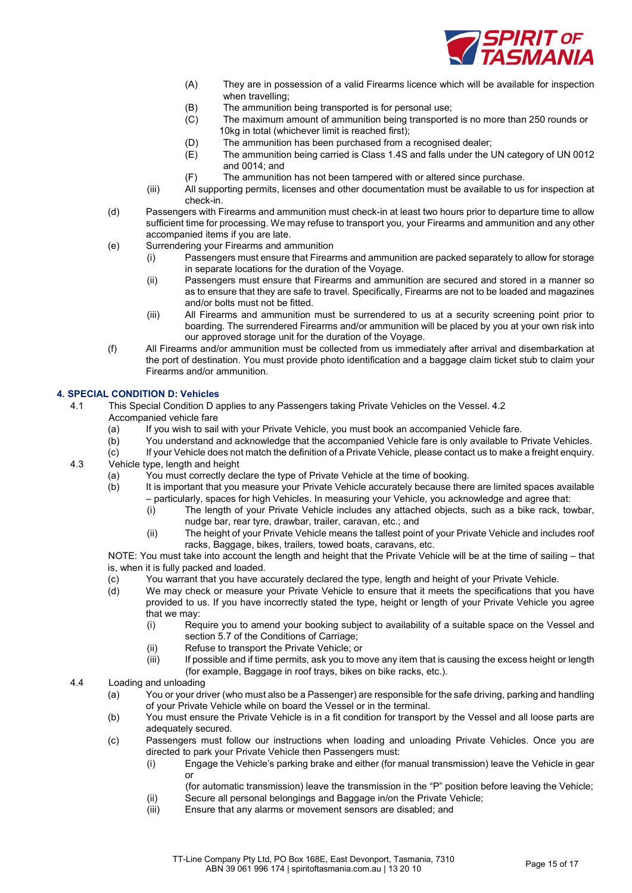

- (A) They are in possession of a valid Firearms licence which will be available for inspection when travelling;
- (B) The ammunition being transported is for personal use;
- (C) The maximum amount of ammunition being transported is no more than 250 rounds or 10kg in total (whichever limit is reached first);
- (D) The ammunition has been purchased from a recognised dealer;
- (E) The ammunition being carried is Class 1.4S and falls under the UN category of UN 0012 and 0014; and
- (F) The ammunition has not been tampered with or altered since purchase.
- (iii) All supporting permits, licenses and other documentation must be available to us for inspection at check-in.
- (d) Passengers with Firearms and ammunition must check-in at least two hours prior to departure time to allow sufficient time for processing. We may refuse to transport you, your Firearms and ammunition and any other accompanied items if you are late.
- (e) Surrendering your Firearms and ammunition
	- (i) Passengers must ensure that Firearms and ammunition are packed separately to allow for storage in separate locations for the duration of the Voyage.
	- (ii) Passengers must ensure that Firearms and ammunition are secured and stored in a manner so as to ensure that they are safe to travel. Specifically, Firearms are not to be loaded and magazines and/or bolts must not be fitted.
	- (iii) All Firearms and ammunition must be surrendered to us at a security screening point prior to boarding. The surrendered Firearms and/or ammunition will be placed by you at your own risk into our approved storage unit for the duration of the Voyage.
- (f) All Firearms and/or ammunition must be collected from us immediately after arrival and disembarkation at the port of destination. You must provide photo identification and a baggage claim ticket stub to claim your Firearms and/or ammunition.

# 4. SPECIAL CONDITION D: Vehicles

4.1 This Special Condition D applies to any Passengers taking Private Vehicles on the Vessel. 4.2 Accompanied vehicle fare

- (a) If you wish to sail with your Private Vehicle, you must book an accompanied Vehicle fare.
- (b) You understand and acknowledge that the accompanied Vehicle fare is only available to Private Vehicles.
- (c) If your Vehicle does not match the definition of a Private Vehicle, please contact us to make a freight enquiry.
- 4.3 Vehicle type, length and height
	- (a) You must correctly declare the type of Private Vehicle at the time of booking.
	- (b) It is important that you measure your Private Vehicle accurately because there are limited spaces available – particularly, spaces for high Vehicles. In measuring your Vehicle, you acknowledge and agree that:
		- (i) The length of your Private Vehicle includes any attached objects, such as a bike rack, towbar, nudge bar, rear tyre, drawbar, trailer, caravan, etc.; and
		- (ii) The height of your Private Vehicle means the tallest point of your Private Vehicle and includes roof racks, Baggage, bikes, trailers, towed boats, caravans, etc.

NOTE: You must take into account the length and height that the Private Vehicle will be at the time of sailing – that is, when it is fully packed and loaded.

- (c) You warrant that you have accurately declared the type, length and height of your Private Vehicle.
- (d) We may check or measure your Private Vehicle to ensure that it meets the specifications that you have provided to us. If you have incorrectly stated the type, height or length of your Private Vehicle you agree that we may:
	- (i) Require you to amend your booking subject to availability of a suitable space on the Vessel and section 5.7 of the Conditions of Carriage;
	- (ii) Refuse to transport the Private Vehicle; or
	- (iii) If possible and if time permits, ask you to move any item that is causing the excess height or length (for example, Baggage in roof trays, bikes on bike racks, etc.).
- 4.4 Loading and unloading
	- (a) You or your driver (who must also be a Passenger) are responsible for the safe driving, parking and handling of your Private Vehicle while on board the Vessel or in the terminal.
	- (b) You must ensure the Private Vehicle is in a fit condition for transport by the Vessel and all loose parts are adequately secured.
	- (c) Passengers must follow our instructions when loading and unloading Private Vehicles. Once you are directed to park your Private Vehicle then Passengers must:
		- (i) Engage the Vehicle's parking brake and either (for manual transmission) leave the Vehicle in gear or
			- (for automatic transmission) leave the transmission in the "P" position before leaving the Vehicle;
		- (ii) Secure all personal belongings and Baggage in/on the Private Vehicle;
		- (iii) Ensure that any alarms or movement sensors are disabled; and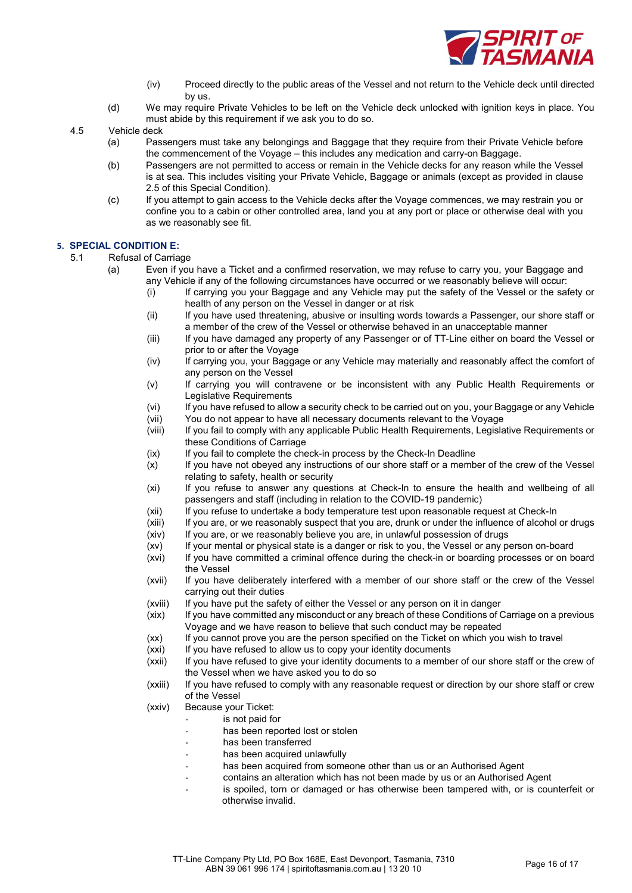

- (iv) Proceed directly to the public areas of the Vessel and not return to the Vehicle deck until directed by us.
- (d) We may require Private Vehicles to be left on the Vehicle deck unlocked with ignition keys in place. You must abide by this requirement if we ask you to do so.
- 4.5 Vehicle deck
	- (a) Passengers must take any belongings and Baggage that they require from their Private Vehicle before the commencement of the Voyage – this includes any medication and carry-on Baggage.
	- (b) Passengers are not permitted to access or remain in the Vehicle decks for any reason while the Vessel is at sea. This includes visiting your Private Vehicle, Baggage or animals (except as provided in clause 2.5 of this Special Condition).
	- (c) If you attempt to gain access to the Vehicle decks after the Voyage commences, we may restrain you or confine you to a cabin or other controlled area, land you at any port or place or otherwise deal with you as we reasonably see fit.

# 5. SPECIAL CONDITION E:

- 5.1 Refusal of Carriage
	- (a) Even if you have a Ticket and a confirmed reservation, we may refuse to carry you, your Baggage and any Vehicle if any of the following circumstances have occurred or we reasonably believe will occur:
		- (i) If carrying you your Baggage and any Vehicle may put the safety of the Vessel or the safety or health of any person on the Vessel in danger or at risk
		- (ii) If you have used threatening, abusive or insulting words towards a Passenger, our shore staff or a member of the crew of the Vessel or otherwise behaved in an unacceptable manner
		- (iii) If you have damaged any property of any Passenger or of TT-Line either on board the Vessel or prior to or after the Voyage
		- (iv) If carrying you, your Baggage or any Vehicle may materially and reasonably affect the comfort of any person on the Vessel
		- (v) If carrying you will contravene or be inconsistent with any Public Health Requirements or Legislative Requirements
		- (vi) If you have refused to allow a security check to be carried out on you, your Baggage or any Vehicle
		- (vii) You do not appear to have all necessary documents relevant to the Voyage
		- (viii) If you fail to comply with any applicable Public Health Requirements, Legislative Requirements or these Conditions of Carriage
		- (ix) If you fail to complete the check-in process by the Check-In Deadline
		- (x) If you have not obeyed any instructions of our shore staff or a member of the crew of the Vessel relating to safety, health or security
		- (xi) If you refuse to answer any questions at Check-In to ensure the health and wellbeing of all passengers and staff (including in relation to the COVID-19 pandemic)
		- (xii) If you refuse to undertake a body temperature test upon reasonable request at Check-In
		- (xiii) If you are, or we reasonably suspect that you are, drunk or under the influence of alcohol or drugs
		- (xiv) If you are, or we reasonably believe you are, in unlawful possession of drugs
		- (xv) If your mental or physical state is a danger or risk to you, the Vessel or any person on-board
		- (xvi) If you have committed a criminal offence during the check-in or boarding processes or on board the Vessel
		- (xvii) If you have deliberately interfered with a member of our shore staff or the crew of the Vessel carrying out their duties
		- (xviii) If you have put the safety of either the Vessel or any person on it in danger
		- (xix) If you have committed any misconduct or any breach of these Conditions of Carriage on a previous Voyage and we have reason to believe that such conduct may be repeated
		- (xx) If you cannot prove you are the person specified on the Ticket on which you wish to travel
		- (xxi) If you have refused to allow us to copy your identity documents
		- (xxii) If you have refused to give your identity documents to a member of our shore staff or the crew of the Vessel when we have asked you to do so
		- (xxiii) If you have refused to comply with any reasonable request or direction by our shore staff or crew of the Vessel
		- (xxiv) Because your Ticket:
			- is not paid for
			- has been reported lost or stolen
			- has been transferred
			- has been acquired unlawfully
			- has been acquired from someone other than us or an Authorised Agent
			- contains an alteration which has not been made by us or an Authorised Agent
				- is spoiled, torn or damaged or has otherwise been tampered with, or is counterfeit or otherwise invalid.